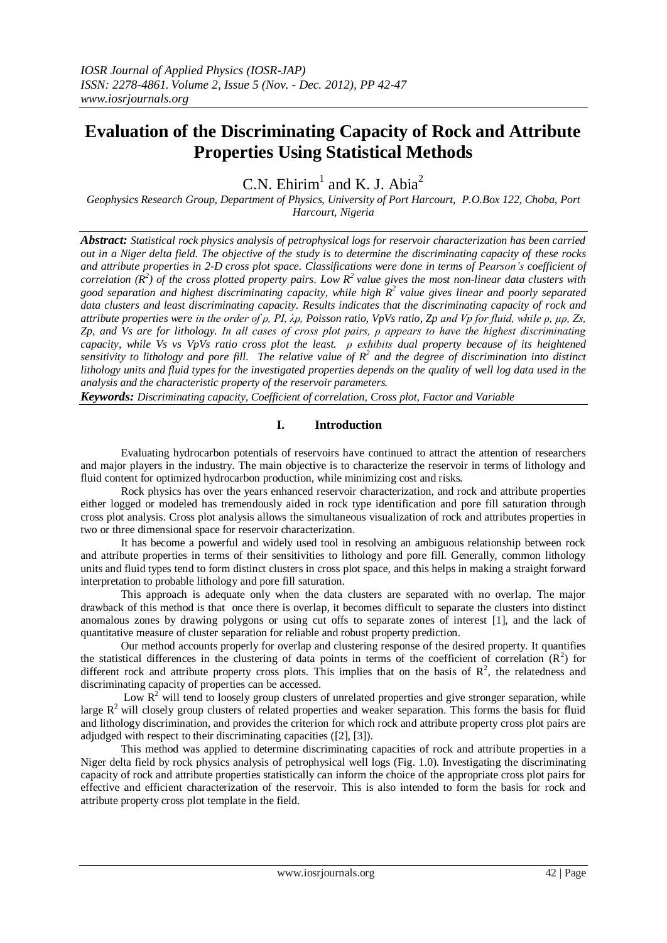# **Evaluation of the Discriminating Capacity of Rock and Attribute Properties Using Statistical Methods**

C.N. Ehirim<sup>1</sup> and K. J. Abia<sup>2</sup>

*Geophysics Research Group, Department of Physics, University of Port Harcourt, P.O.Box 122, Choba, Port Harcourt, Nigeria*

*Abstract: Statistical rock physics analysis of petrophysical logs for reservoir characterization has been carried out in a Niger delta field. The objective of the study is to determine the discriminating capacity of these rocks and attribute properties in 2-D cross plot space. Classifications were done in terms of Pearson's coefficient of correlation*  $(R^2)$  *of the cross plotted property pairs. Low*  $R^2$  *value gives the most non-linear data clusters with good separation and highest discriminating capacity, while high R 2 value gives linear and poorly separated data clusters and least discriminating capacity. Results indicates that the discriminating capacity of rock and attribute properties were in the order of ρ, PI, λρ, Poisson ratio, VpVs ratio, Zp and Vp for fluid, while ρ, µρ, Zs, Zp, and Vs are for lithology. In all cases of cross plot pairs, ρ appears to have the highest discriminating capacity, while Vs vs VpVs ratio cross plot the least. ρ exhibits dual property because of its heightened*  sensitivity to lithology and pore fill. The relative value of  $R^2$  and the degree of discrimination into distinct *lithology units and fluid types for the investigated properties depends on the quality of well log data used in the analysis and the characteristic property of the reservoir parameters.*

*Keywords: Discriminating capacity, Coefficient of correlation, Cross plot, Factor and Variable*

## **I. Introduction**

Evaluating hydrocarbon potentials of reservoirs have continued to attract the attention of researchers and major players in the industry. The main objective is to characterize the reservoir in terms of lithology and fluid content for optimized hydrocarbon production, while minimizing cost and risks.

Rock physics has over the years enhanced reservoir characterization, and rock and attribute properties either logged or modeled has tremendously aided in rock type identification and pore fill saturation through cross plot analysis. Cross plot analysis allows the simultaneous visualization of rock and attributes properties in two or three dimensional space for reservoir characterization.

It has become a powerful and widely used tool in resolving an ambiguous relationship between rock and attribute properties in terms of their sensitivities to lithology and pore fill. Generally, common lithology units and fluid types tend to form distinct clusters in cross plot space, and this helps in making a straight forward interpretation to probable lithology and pore fill saturation.

This approach is adequate only when the data clusters are separated with no overlap. The major drawback of this method is that once there is overlap, it becomes difficult to separate the clusters into distinct anomalous zones by drawing polygons or using cut offs to separate zones of interest [1], and the lack of quantitative measure of cluster separation for reliable and robust property prediction.

Our method accounts properly for overlap and clustering response of the desired property. It quantifies the statistical differences in the clustering of data points in terms of the coefficient of correlation  $(R<sup>2</sup>)$  for different rock and attribute property cross plots. This implies that on the basis of  $\mathbb{R}^2$ , the relatedness and discriminating capacity of properties can be accessed.

Low  $R^2$  will tend to loosely group clusters of unrelated properties and give stronger separation, while large  $R<sup>2</sup>$  will closely group clusters of related properties and weaker separation. This forms the basis for fluid and lithology discrimination, and provides the criterion for which rock and attribute property cross plot pairs are adjudged with respect to their discriminating capacities ([2], [3]).

This method was applied to determine discriminating capacities of rock and attribute properties in a Niger delta field by rock physics analysis of petrophysical well logs (Fig. 1.0). Investigating the discriminating capacity of rock and attribute properties statistically can inform the choice of the appropriate cross plot pairs for effective and efficient characterization of the reservoir. This is also intended to form the basis for rock and attribute property cross plot template in the field.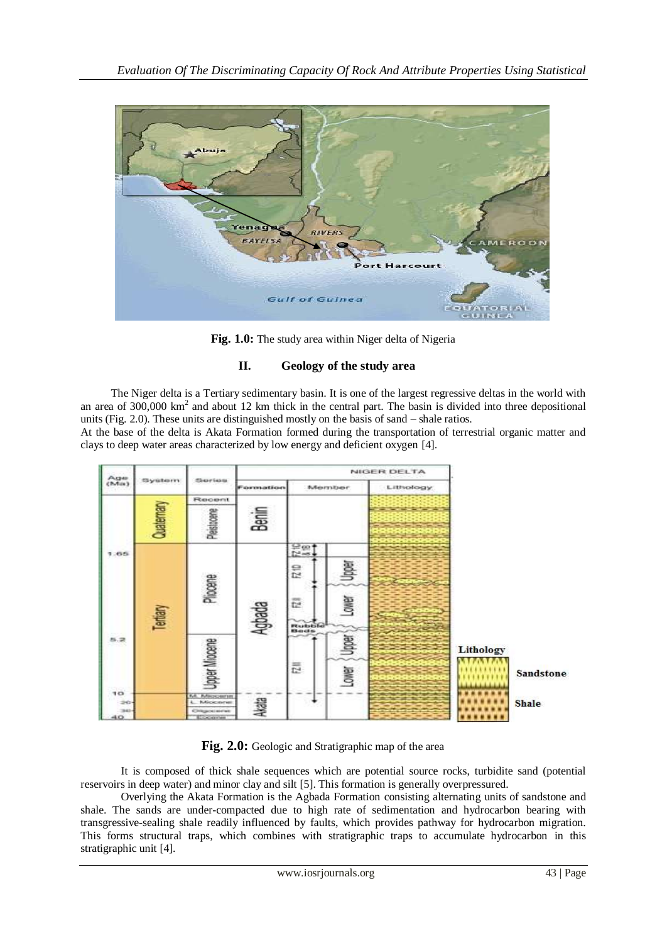

Fig. 1.0: The study area within Niger delta of Nigeria

## **II. Geology of the study area**

The Niger delta is a Tertiary sedimentary basin. It is one of the largest regressive deltas in the world with an area of  $300,000 \text{ km}^2$  and about 12 km thick in the central part. The basin is divided into three depositional units (Fig. 2.0). These units are distinguished mostly on the basis of sand – shale ratios.

At the base of the delta is Akata Formation formed during the transportation of terrestrial organic matter and clays to deep water areas characterized by low energy and deficient oxygen [4].



**Fig. 2.0:** Geologic and Stratigraphic map of the area

It is composed of thick shale sequences which are potential source rocks, turbidite sand (potential reservoirs in deep water) and minor clay and silt [5]. This formation is generally overpressured.

Overlying the Akata Formation is the Agbada Formation consisting alternating units of sandstone and shale. The sands are under-compacted due to high rate of sedimentation and hydrocarbon bearing with transgressive-sealing shale readily influenced by faults, which provides pathway for hydrocarbon migration. This forms structural traps, which combines with stratigraphic traps to accumulate hydrocarbon in this stratigraphic unit [4].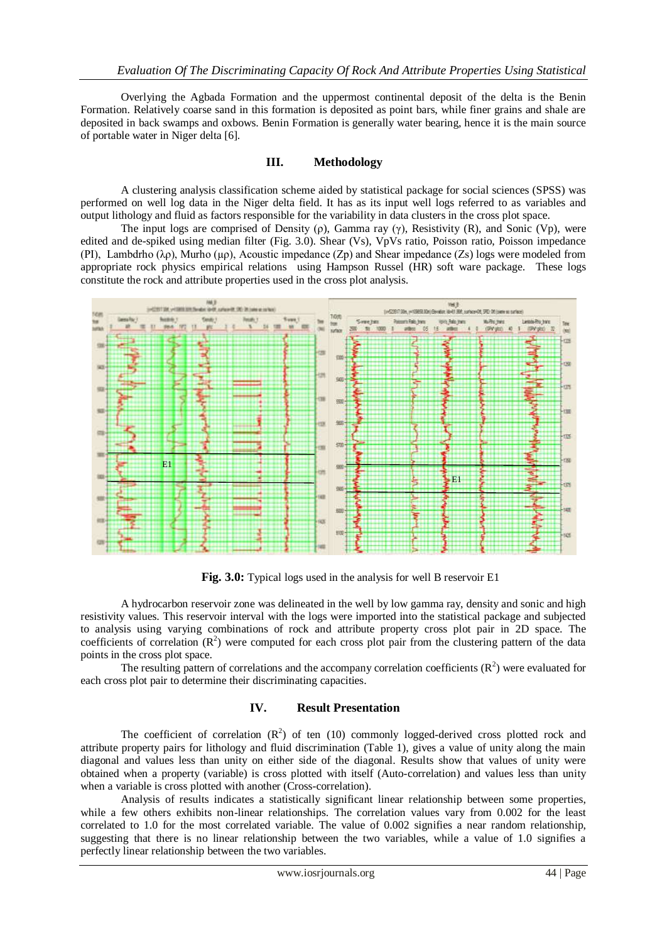Overlying the Agbada Formation and the uppermost continental deposit of the delta is the Benin Formation. Relatively coarse sand in this formation is deposited as point bars, while finer grains and shale are deposited in back swamps and oxbows. Benin Formation is generally water bearing, hence it is the main source of portable water in Niger delta [6].

#### **III. Methodology**

A clustering analysis classification scheme aided by statistical package for social sciences (SPSS) was performed on well log data in the Niger delta field. It has as its input well logs referred to as variables and output lithology and fluid as factors responsible for the variability in data clusters in the cross plot space.

The input logs are comprised of Density (ρ), Gamma ray (γ), Resistivity (R), and Sonic (Vp), were edited and de-spiked using median filter (Fig. 3.0). Shear (Vs), VpVs ratio, Poisson ratio, Poisson impedance (PI), Lambdrho ( $\lambda$ ρ), Murho (μρ), Acoustic impedance (Zp) and Shear impedance (Zs) logs were modeled from appropriate rock physics empirical relations using Hampson Russel (HR) soft ware package. These logs constitute the rock and attribute properties used in the cross plot analysis.



**Fig. 3.0:** Typical logs used in the analysis for well B reservoir E1

A hydrocarbon reservoir zone was delineated in the well by low gamma ray, density and sonic and high resistivity values. This reservoir interval with the logs were imported into the statistical package and subjected to analysis using varying combinations of rock and attribute property cross plot pair in 2D space. The coefficients of correlation  $(R^2)$  were computed for each cross plot pair from the clustering pattern of the data points in the cross plot space.

The resulting pattern of correlations and the accompany correlation coefficients  $(R^2)$  were evaluated for each cross plot pair to determine their discriminating capacities.

## **IV. Result Presentation**

The coefficient of correlation  $(R^2)$  of ten (10) commonly logged-derived cross plotted rock and attribute property pairs for lithology and fluid discrimination (Table 1), gives a value of unity along the main diagonal and values less than unity on either side of the diagonal. Results show that values of unity were obtained when a property (variable) is cross plotted with itself (Auto-correlation) and values less than unity when a variable is cross plotted with another (Cross-correlation).

Analysis of results indicates a statistically significant linear relationship between some properties, while a few others exhibits non-linear relationships. The correlation values vary from 0.002 for the least correlated to 1.0 for the most correlated variable. The value of 0.002 signifies a near random relationship, suggesting that there is no linear relationship between the two variables, while a value of 1.0 signifies a perfectly linear relationship between the two variables.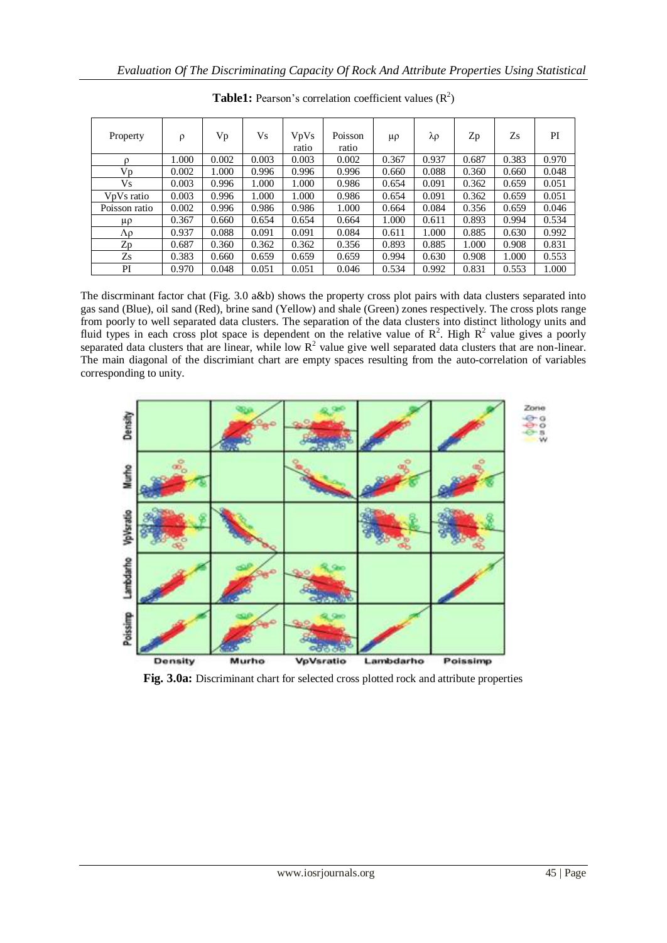| Property                            | $\rho$ | Vp    | Vs    | <b>V<sub>p</sub>V<sub>s</sub></b><br>ratio | Poisson<br>ratio | μρ    | λρ    | Zp    | Zs    | PI    |
|-------------------------------------|--------|-------|-------|--------------------------------------------|------------------|-------|-------|-------|-------|-------|
| $\Omega$                            | 1.000  | 0.002 | 0.003 | 0.003                                      | 0.002            | 0.367 | 0.937 | 0.687 | 0.383 | 0.970 |
| Vp                                  | 0.002  | 1.000 | 0.996 | 0.996                                      | 0.996            | 0.660 | 0.088 | 0.360 | 0.660 | 0.048 |
| <b>Vs</b>                           | 0.003  | 0.996 | 1.000 | 1.000                                      | 0.986            | 0.654 | 0.091 | 0.362 | 0.659 | 0.051 |
| V <sub>p</sub> V <sub>s</sub> ratio | 0.003  | 0.996 | 1.000 | 1.000                                      | 0.986            | 0.654 | 0.091 | 0.362 | 0.659 | 0.051 |
| Poisson ratio                       | 0.002  | 0.996 | 0.986 | 0.986                                      | 1.000            | 0.664 | 0.084 | 0.356 | 0.659 | 0.046 |
| μρ                                  | 0.367  | 0.660 | 0.654 | 0.654                                      | 0.664            | 1.000 | 0.611 | 0.893 | 0.994 | 0.534 |
| Λρ                                  | 0.937  | 0.088 | 0.091 | 0.091                                      | 0.084            | 0.611 | 1.000 | 0.885 | 0.630 | 0.992 |
| Zp                                  | 0.687  | 0.360 | 0.362 | 0.362                                      | 0.356            | 0.893 | 0.885 | 1.000 | 0.908 | 0.831 |
| Zs                                  | 0.383  | 0.660 | 0.659 | 0.659                                      | 0.659            | 0.994 | 0.630 | 0.908 | 1.000 | 0.553 |
| PI                                  | 0.970  | 0.048 | 0.051 | 0.051                                      | 0.046            | 0.534 | 0.992 | 0.831 | 0.553 | 1.000 |

**Table1:** Pearson's correlation coefficient values  $(R^2)$ 

The discrminant factor chat (Fig. 3.0 a&b) shows the property cross plot pairs with data clusters separated into gas sand (Blue), oil sand (Red), brine sand (Yellow) and shale (Green) zones respectively. The cross plots range from poorly to well separated data clusters. The separation of the data clusters into distinct lithology units and fluid types in each cross plot space is dependent on the relative value of  $\mathbb{R}^2$ . High  $\mathbb{R}^2$  value gives a poorly separated data clusters that are linear, while low  $R^2$  value give well separated data clusters that are non-linear. The main diagonal of the discrimiant chart are empty spaces resulting from the auto-correlation of variables corresponding to unity.



**Fig. 3.0a:** Discriminant chart for selected cross plotted rock and attribute properties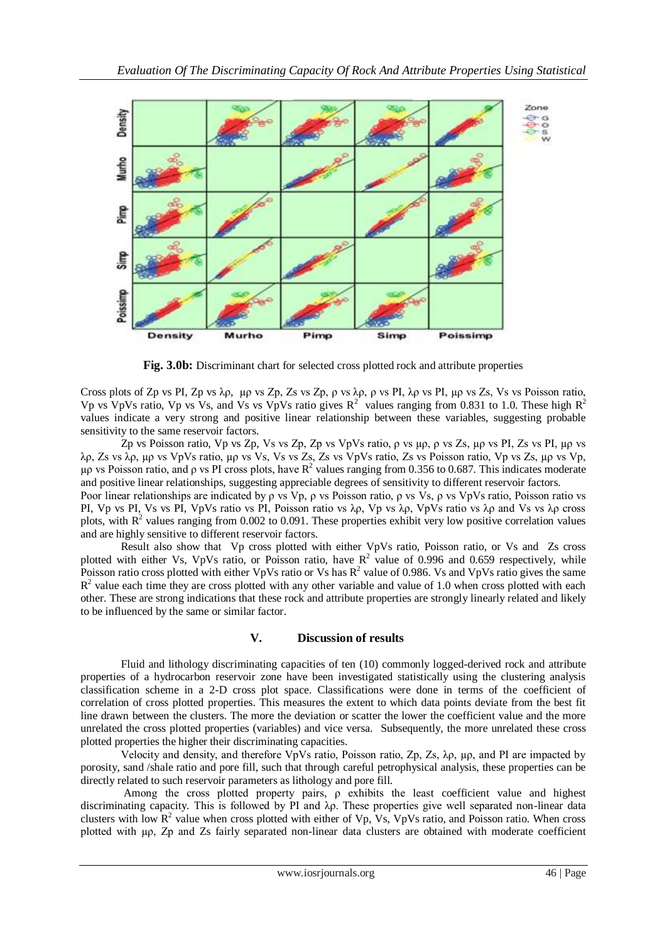

**Fig. 3.0b:** Discriminant chart for selected cross plotted rock and attribute properties

Cross plots of Zp vs PI, Zp vs λρ, µρ vs Zp, Zs vs Zp, ρ vs λρ, ρ vs PI, λρ vs PI, µρ vs Zs, Vs vs Poisson ratio, Vp vs VpVs ratio, Vp vs Vs, and Vs vs VpVs ratio gives  $R^2$  values ranging from 0.831 to 1.0. These high  $R^2$ values indicate a very strong and positive linear relationship between these variables, suggesting probable sensitivity to the same reservoir factors.

Zp vs Poisson ratio, Vp vs Zp, Vs vs Zp, Zp vs VpVs ratio, ρ vs µρ, ρ vs Zs, µρ vs PI, Zs vs PI, µρ vs λρ, Zs vs λρ, µρ vs VpVs ratio, µρ vs Vs, Vs vs Zs, Zs vs VpVs ratio, Zs vs Poisson ratio, Vp vs Zs, µρ vs Vp, μρ vs Poisson ratio, and ρ vs PI cross plots, have  $\mathbb{R}^2$  values ranging from 0.356 to 0.687. This indicates moderate and positive linear relationships, suggesting appreciable degrees of sensitivity to different reservoir factors. Poor linear relationships are indicated by ρ vs Vp, ρ vs Poisson ratio, ρ vs Vs, ρ vs VpVs ratio, Poisson ratio vs PI, Vp vs PI, Vs vs PI, VpVs ratio vs PI, Poisson ratio vs λρ, Vp vs λρ, VpVs ratio vs λρ and Vs vs λρ cross plots, with  $R<sup>2</sup>$  values ranging from 0.002 to 0.091. These properties exhibit very low positive correlation values and are highly sensitive to different reservoir factors.

Result also show that Vp cross plotted with either VpVs ratio, Poisson ratio, or Vs and Zs cross plotted with either Vs, VpVs ratio, or Poisson ratio, have  $R^2$  value of 0.996 and 0.659 respectively, while Poisson ratio cross plotted with either VpVs ratio or Vs has  $R^2$  value of 0.986. Vs and VpVs ratio gives the same  $R<sup>2</sup>$  value each time they are cross plotted with any other variable and value of 1.0 when cross plotted with each other. These are strong indications that these rock and attribute properties are strongly linearly related and likely to be influenced by the same or similar factor.

### **V. Discussion of results**

Fluid and lithology discriminating capacities of ten (10) commonly logged-derived rock and attribute properties of a hydrocarbon reservoir zone have been investigated statistically using the clustering analysis classification scheme in a 2-D cross plot space. Classifications were done in terms of the coefficient of correlation of cross plotted properties. This measures the extent to which data points deviate from the best fit line drawn between the clusters. The more the deviation or scatter the lower the coefficient value and the more unrelated the cross plotted properties (variables) and vice versa. Subsequently, the more unrelated these cross plotted properties the higher their discriminating capacities.

Velocity and density, and therefore VpVs ratio, Poisson ratio,  $\mathbb{Z}_p$ ,  $\mathbb{Z}_s$ ,  $\lambda_p$ ,  $\mu_p$ , and PI are impacted by porosity, sand /shale ratio and pore fill, such that through careful petrophysical analysis, these properties can be directly related to such reservoir parameters as lithology and pore fill.

Among the cross plotted property pairs, ρ exhibits the least coefficient value and highest discriminating capacity. This is followed by PI and λρ. These properties give well separated non-linear data clusters with low  $R^2$  value when cross plotted with either of Vp, Vs, VpVs ratio, and Poisson ratio. When cross plotted with µρ, Zp and Zs fairly separated non-linear data clusters are obtained with moderate coefficient